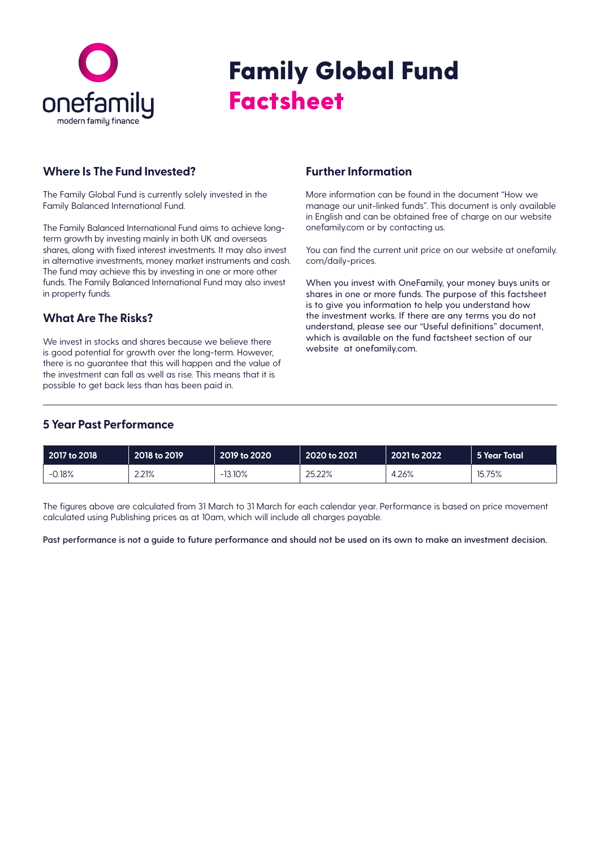

# Family Global Fund **Factsheet**

#### **Where Is The Fund Invested?**

The Family Global Fund is currently solely invested in the Family Balanced International Fund.

The Family Balanced International Fund aims to achieve longterm growth by investing mainly in both UK and overseas shares, along with fixed interest investments. It may also invest in alternative investments, money market instruments and cash. The fund may achieve this by investing in one or more other funds. The Family Balanced International Fund may also invest in property funds.

### **What Are The Risks?**

We invest in stocks and shares because we believe there is good potential for growth over the long-term. However, there is no guarantee that this will happen and the value of the investment can fall as well as rise. This means that it is possible to get back less than has been paid in.

#### **Further Information**

More information can be found in the document "How we manage our unit-linked funds". This document is only available in English and can be obtained free of charge on our website onefamily.com or by contacting us.

You can find the current unit price on our website at onefamily. com/daily-prices.

When you invest with OneFamily, your money buys units or shares in one or more funds. The purpose of this factsheet is to give you information to help you understand how the investment works. If there are any terms you do not understand, please see our "Useful definitions" document, which is available on the fund factsheet section of our website at onefamily.com.

### **5 Year Past Performance**

| 2017 to 2018 | 2018 to 2019 | 2019 to 2020 | 2020 to 2021 | 2021 to 2022 | 5 Year Total |
|--------------|--------------|--------------|--------------|--------------|--------------|
| 0.18%<br>--  | 2.21%        | 13.10%<br>-  | 25.22%       | 26%،         | 15.75%       |

The figures above are calculated from 31 March to 31 March for each calendar year. Performance is based on price movement calculated using Publishing prices as at 10am, which will include all charges payable.

**Past performance is not a guide to future performance and should not be used on its own to make an investment decision.**